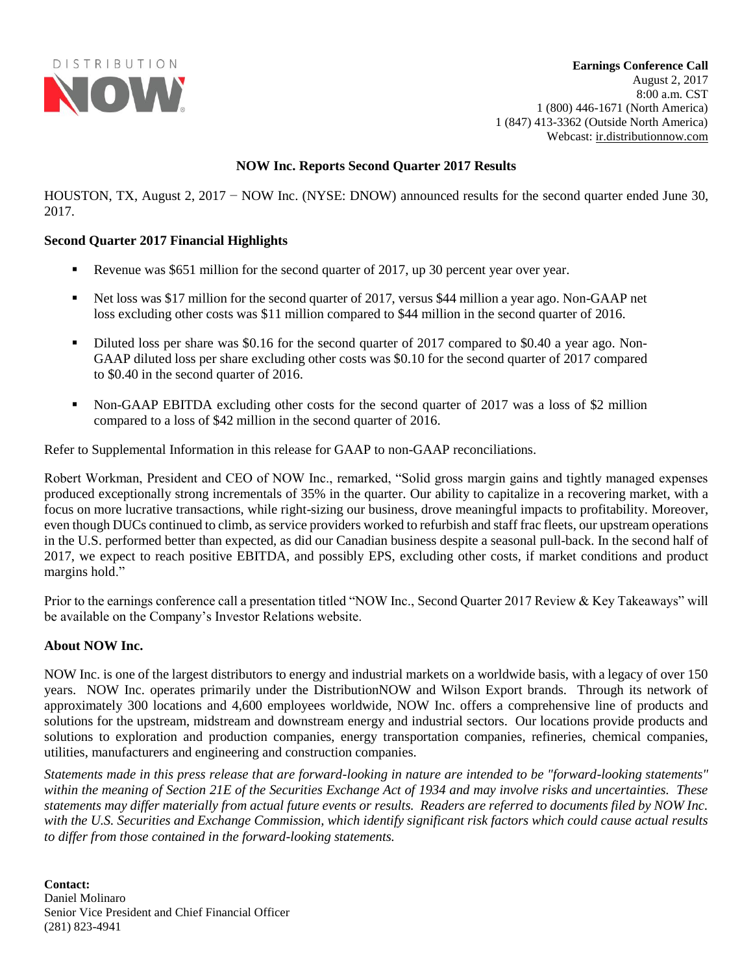

**Earnings Conference Call**  August 2, 2017 8:00 a.m. CST 1 (800) 446-1671 (North America) 1 (847) 413-3362 (Outside North America) Webcast: [ir.distributionnow.com](file://///SRVHOUDSGFS01/Superdrive$/Sewell/2017%20Q1/ER/ir.distributionnow.com)

# **NOW Inc. Reports Second Quarter 2017 Results**

HOUSTON, TX, August 2, 2017 − NOW Inc. (NYSE: DNOW) announced results for the second quarter ended June 30, 2017.

# **Second Quarter 2017 Financial Highlights**

- **•** Revenue was \$651 million for the second quarter of 2017, up 30 percent year over year.
- Net loss was \$17 million for the second quarter of 2017, versus \$44 million a year ago. Non-GAAP net loss excluding other costs was \$11 million compared to \$44 million in the second quarter of 2016.
- Diluted loss per share was \$0.16 for the second quarter of 2017 compared to \$0.40 a year ago. Non-GAAP diluted loss per share excluding other costs was \$0.10 for the second quarter of 2017 compared to \$0.40 in the second quarter of 2016.
- Non-GAAP EBITDA excluding other costs for the second quarter of 2017 was a loss of \$2 million compared to a loss of \$42 million in the second quarter of 2016.

Refer to Supplemental Information in this release for GAAP to non-GAAP reconciliations.

Robert Workman, President and CEO of NOW Inc., remarked, "Solid gross margin gains and tightly managed expenses produced exceptionally strong incrementals of 35% in the quarter. Our ability to capitalize in a recovering market, with a focus on more lucrative transactions, while right-sizing our business, drove meaningful impacts to profitability. Moreover, even though DUCs continued to climb, as service providers worked to refurbish and staff frac fleets, our upstream operations in the U.S. performed better than expected, as did our Canadian business despite a seasonal pull-back. In the second half of 2017, we expect to reach positive EBITDA, and possibly EPS, excluding other costs, if market conditions and product margins hold."

Prior to the earnings conference call a presentation titled "NOW Inc., Second Quarter 2017 Review & Key Takeaways" will be available on the Company's Investor Relations website.

# **About NOW Inc.**

NOW Inc. is one of the largest distributors to energy and industrial markets on a worldwide basis, with a legacy of over 150 years. NOW Inc. operates primarily under the DistributionNOW and Wilson Export brands. Through its network of approximately 300 locations and 4,600 employees worldwide, NOW Inc. offers a comprehensive line of products and solutions for the upstream, midstream and downstream energy and industrial sectors. Our locations provide products and solutions to exploration and production companies, energy transportation companies, refineries, chemical companies, utilities, manufacturers and engineering and construction companies.

*Statements made in this press release that are forward-looking in nature are intended to be "forward-looking statements" within the meaning of Section 21E of the Securities Exchange Act of 1934 and may involve risks and uncertainties. These statements may differ materially from actual future events or results. Readers are referred to documents filed by NOW Inc. with the U.S. Securities and Exchange Commission, which identify significant risk factors which could cause actual results to differ from those contained in the forward-looking statements.*

**Contact:** Daniel Molinaro Senior Vice President and Chief Financial Officer (281) 823-4941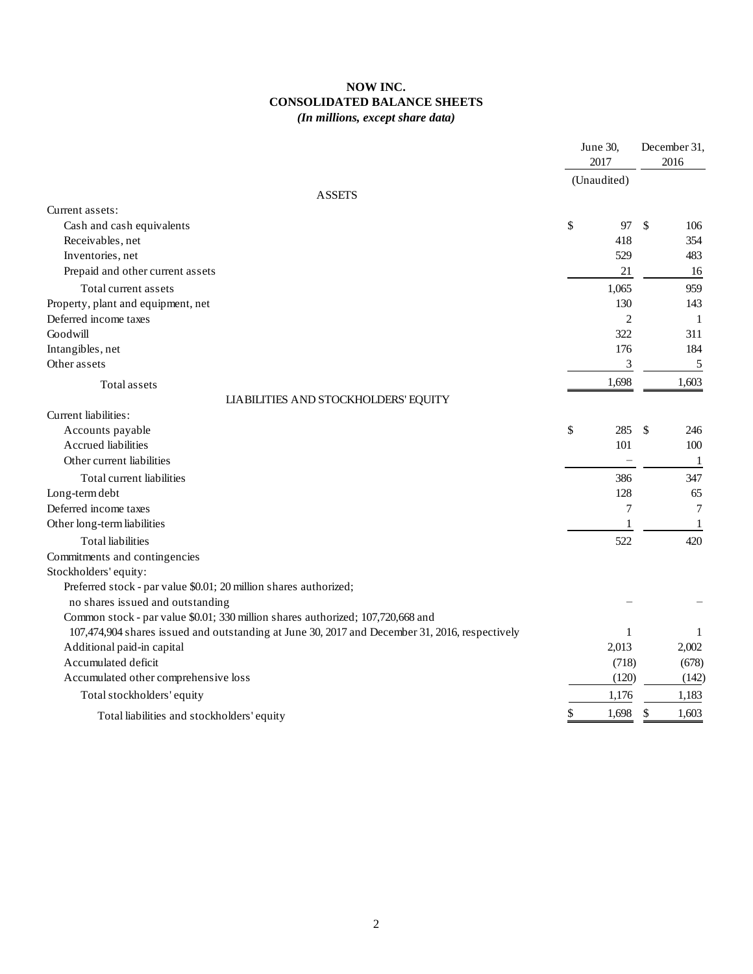# **NOW INC. CONSOLIDATED BALANCE SHEETS** *(In millions, except share data)*

|                                                                                                |    | June 30,<br>2017 |               | December 31,<br>2016 |  |
|------------------------------------------------------------------------------------------------|----|------------------|---------------|----------------------|--|
|                                                                                                |    | (Unaudited)      |               |                      |  |
| <b>ASSETS</b>                                                                                  |    |                  |               |                      |  |
| Current assets:                                                                                |    |                  |               |                      |  |
| Cash and cash equivalents                                                                      | \$ | 97               | \$            | 106                  |  |
| Receivables, net                                                                               |    | 418              |               | 354                  |  |
| Inventories, net                                                                               |    | 529              |               | 483                  |  |
| Prepaid and other current assets                                                               |    | 21               |               | 16                   |  |
| Total current assets                                                                           |    | 1,065            |               | 959                  |  |
| Property, plant and equipment, net                                                             |    | 130              |               | 143                  |  |
| Deferred income taxes                                                                          |    | $\overline{c}$   |               | -1                   |  |
| Goodwill                                                                                       |    | 322              |               | 311                  |  |
| Intangibles, net                                                                               |    | 176              |               | 184                  |  |
| Other assets                                                                                   |    | 3                |               | 5                    |  |
| Total assets                                                                                   |    | 1,698            |               | 1,603                |  |
| LIABILITIES AND STOCKHOLDERS' EQUITY                                                           |    |                  |               |                      |  |
| Current liabilities:                                                                           |    |                  |               |                      |  |
| Accounts payable                                                                               | \$ | 285              | <sup>\$</sup> | 246                  |  |
| Accrued liabilities                                                                            |    | 101              |               | 100                  |  |
| Other current liabilities                                                                      |    |                  |               | -1                   |  |
| Total current liabilities                                                                      |    | 386              |               | 347                  |  |
| Long-term debt                                                                                 |    | 128              |               | 65                   |  |
| Deferred income taxes                                                                          |    | 7                |               | 7                    |  |
| Other long-term liabilities                                                                    |    | 1                |               | 1                    |  |
| <b>Total liabilities</b>                                                                       |    | 522              |               | 420                  |  |
| Commitments and contingencies                                                                  |    |                  |               |                      |  |
| Stockholders' equity:                                                                          |    |                  |               |                      |  |
| Preferred stock - par value \$0.01; 20 million shares authorized;                              |    |                  |               |                      |  |
| no shares issued and outstanding                                                               |    |                  |               |                      |  |
| Common stock - par value \$0.01; 330 million shares authorized; 107,720,668 and                |    |                  |               |                      |  |
| 107,474,904 shares issued and outstanding at June 30, 2017 and December 31, 2016, respectively |    | 1                |               | 1                    |  |
| Additional paid-in capital                                                                     |    | 2,013            |               | 2,002                |  |
| Accumulated deficit                                                                            |    | (718)            |               | (678)                |  |
| Accumulated other comprehensive loss                                                           |    | (120)            |               | (142)                |  |
| Total stockholders' equity                                                                     |    | 1,176            |               | 1,183                |  |
| Total liabilities and stockholders' equity                                                     | \$ | 1,698            | \$            | 1,603                |  |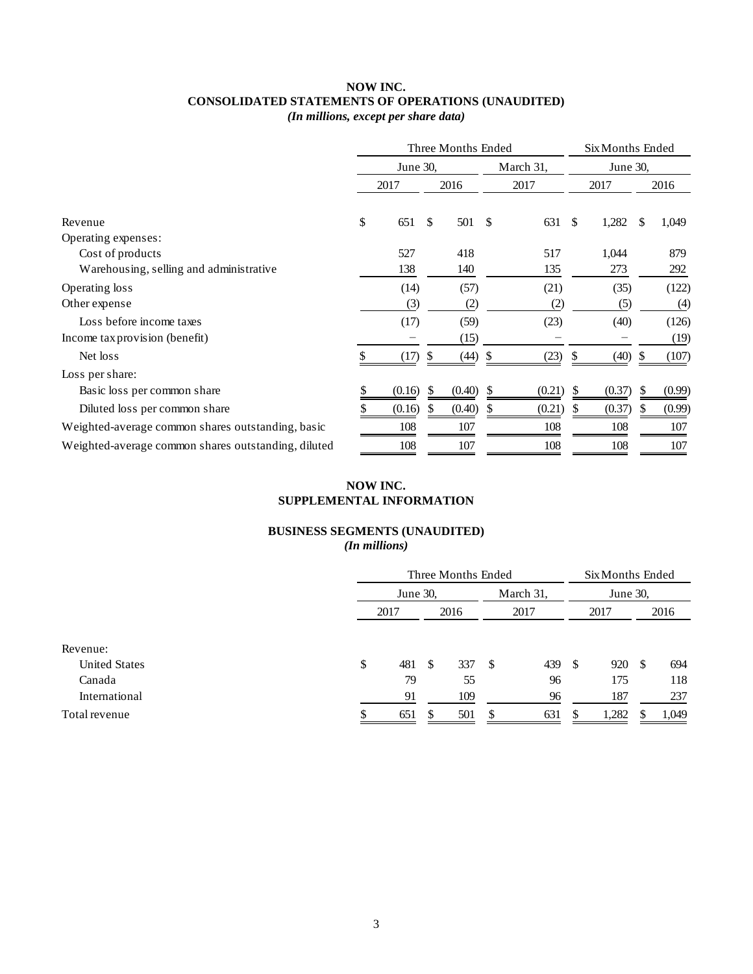# **NOW INC. CONSOLIDATED STATEMENTS OF OPERATIONS (UNAUDITED)**

*(In millions, except per share data)*

|                                                     |    |          | Three Months Ended |          | Six Months Ended |        |      |        |   |        |
|-----------------------------------------------------|----|----------|--------------------|----------|------------------|--------|------|--------|---|--------|
|                                                     |    | June 30, |                    | June 30, |                  |        |      |        |   |        |
|                                                     |    | 2017     |                    | 2016     |                  | 2017   | 2017 |        |   | 2016   |
| Revenue                                             | \$ | 651      | \$.                | 501      | -\$              | 631    | \$   | 1,282  | S | 1,049  |
| Operating expenses:                                 |    |          |                    |          |                  |        |      |        |   |        |
| Cost of products                                    |    | 527      |                    | 418      |                  | 517    |      | 1,044  |   | 879    |
| Warehousing, selling and administrative             |    | 138      |                    | 140      |                  | 135    |      | 273    |   | 292    |
| Operating loss                                      |    | (14)     |                    | (57)     |                  | (21)   |      | (35)   |   | (122)  |
| Other expense                                       |    | (3)      |                    | (2)      |                  | (2)    |      | (5)    |   | (4)    |
| Loss before income taxes                            |    | (17)     |                    | (59)     |                  | (23)   |      | (40)   |   | (126)  |
| Income tax provision (benefit)                      |    |          |                    | (15)     |                  |        |      |        |   | (19)   |
| Net loss                                            |    | (17)     |                    | (44)     |                  | (23)   |      | (40)   |   | (107)  |
| Loss per share:                                     |    |          |                    |          |                  |        |      |        |   |        |
| Basic loss per common share                         |    | (0.16)   | S                  | (0.40)   |                  | (0.21) |      | (0.37) |   | (0.99) |
| Diluted loss per common share                       |    | (0.16)   | S                  | (0.40)   | \$               | (0.21) | P.   | (0.37) |   | (0.99) |
| Weighted-average common shares outstanding, basic   |    | 108      |                    | 107      |                  | 108    |      | 108    |   | 107    |
| Weighted-average common shares outstanding, diluted |    | 108      |                    | 107      |                  | 108    |      | 108    |   | 107    |

# **NOW INC. SUPPLEMENTAL INFORMATION**

### **BUSINESS SEGMENTS (UNAUDITED)** *(In millions)*

|                      | Three Months Ended |      |           |    |          |      |       | Six Months Ended |       |  |  |  |  |
|----------------------|--------------------|------|-----------|----|----------|------|-------|------------------|-------|--|--|--|--|
|                      | June 30,           |      | March 31, |    | June 30, |      |       |                  |       |  |  |  |  |
|                      | 2017               |      | 2016      |    | 2017     | 2017 |       |                  | 2016  |  |  |  |  |
| Revenue:             |                    |      |           |    |          |      |       |                  |       |  |  |  |  |
| <b>United States</b> | \$<br>481          | - \$ | 337       | -S | 439      | - \$ | 920   | <b>S</b>         | 694   |  |  |  |  |
| Canada               | 79                 |      | 55        |    | 96       |      | 175   |                  | 118   |  |  |  |  |
| International        | 91                 |      | 109       |    | 96       |      | 187   |                  | 237   |  |  |  |  |
| Total revenue        | 651                |      | 501       |    | 631      |      | 1,282 |                  | 1,049 |  |  |  |  |